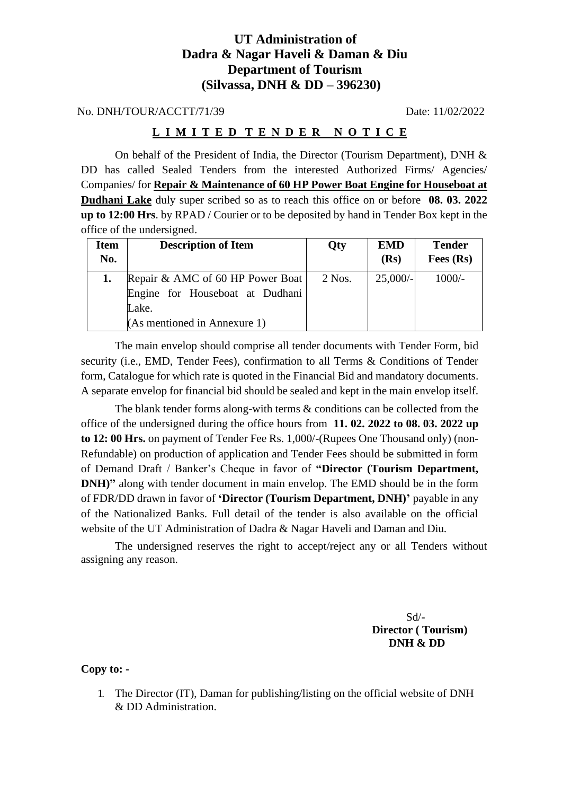### **UT Administration of Dadra & Nagar Haveli & Daman & Diu Department of Tourism (Silvassa, DNH & DD – 396230)**

No. DNH/TOUR/ACCTT/71/39 Date: 11/02/2022

#### **L I M I T E D T E N D E R N O T I C E**

On behalf of the President of India, the Director (Tourism Department), DNH & DD has called Sealed Tenders from the interested Authorized Firms/ Agencies/ Companies/ for **Repair & Maintenance of 60 HP Power Boat Engine for Houseboat at Dudhani Lake** duly super scribed so as to reach this office on or before **08. 03. 2022 up to 12:00 Hrs**. by RPAD / Courier or to be deposited by hand in Tender Box kept in the office of the undersigned.

| <b>Item</b> | <b>Description of Item</b>       | Qty      | <b>EMD</b> | <b>Tender</b> |
|-------------|----------------------------------|----------|------------|---------------|
| No.         |                                  |          | (Rs)       | Fees $(Rs)$   |
|             | Repair & AMC of 60 HP Power Boat | $2$ Nos. | $25,000/-$ | $1000/-$      |
|             | Engine for Houseboat at Dudhani  |          |            |               |
|             | Lake.                            |          |            |               |
|             | (As mentioned in Annexure 1)     |          |            |               |

The main envelop should comprise all tender documents with Tender Form, bid security (i.e., EMD, Tender Fees), confirmation to all Terms & Conditions of Tender form, Catalogue for which rate is quoted in the Financial Bid and mandatory documents. A separate envelop for financial bid should be sealed and kept in the main envelop itself.

The blank tender forms along-with terms & conditions can be collected from the office of the undersigned during the office hours from **11. 02. 2022 to 08. 03. 2022 up to 12: 00 Hrs.** on payment of Tender Fee Rs. 1,000/-(Rupees One Thousand only) (non-Refundable) on production of application and Tender Fees should be submitted in form of Demand Draft / Banker's Cheque in favor of **"Director (Tourism Department, DNH**)" along with tender document in main envelop. The EMD should be in the form of FDR/DD drawn in favor of **'Director (Tourism Department, DNH)'** payable in any of the Nationalized Banks. Full detail of the tender is also available on the official website of the UT Administration of Dadra & Nagar Haveli and Daman and Diu.

The undersigned reserves the right to accept/reject any or all Tenders without assigning any reason.

> Sd/- **Director ( Tourism) DNH & DD**

**Copy to: -**

1. The Director (IT), Daman for publishing/listing on the official website of DNH & DD Administration.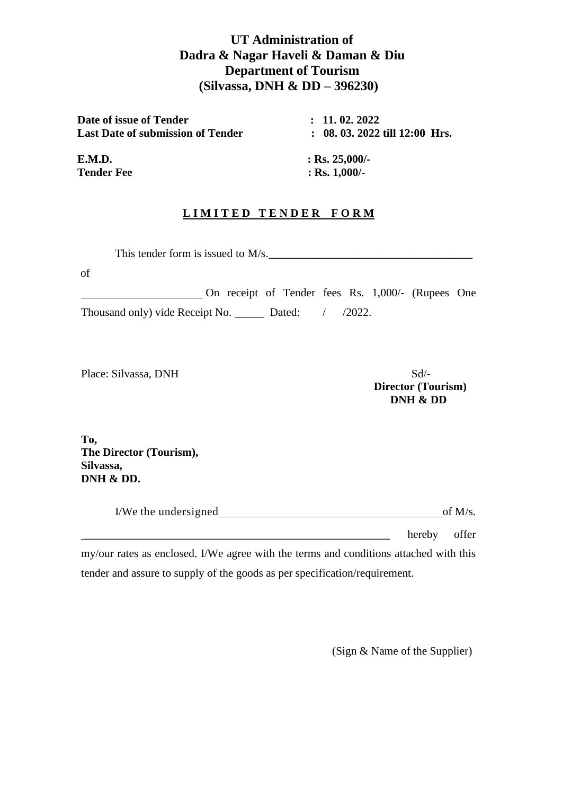### **UT Administration of Dadra & Nagar Haveli & Daman & Diu Department of Tourism (Silvassa, DNH & DD – 396230)**

**Date of issue of Tender : 11. 02. 2022 Last Date of submission of Tender : 08. 03. 2022 till 12:00 Hrs.**

**E.M.D. : Rs. 25,000/- Tender Fee** : Rs. 1,000/-

### **L I M I T E D T E N D E R F O R M**

This tender form is issued to M/s.

of

On receipt of Tender fees Rs. 1,000/- (Rupees One Thousand only) vide Receipt No. Dated: / /2022.

Place: Silvassa, DNH Sd/-

**Director (Tourism) DNH & DD**

**To, The Director (Tourism), Silvassa, DNH & DD.**

I/We the undersigned of M/s.

hereby offer

my/our rates as enclosed. I/We agree with the terms and conditions attached with this tender and assure to supply of the goods as per specification/requirement.

(Sign & Name of the Supplier)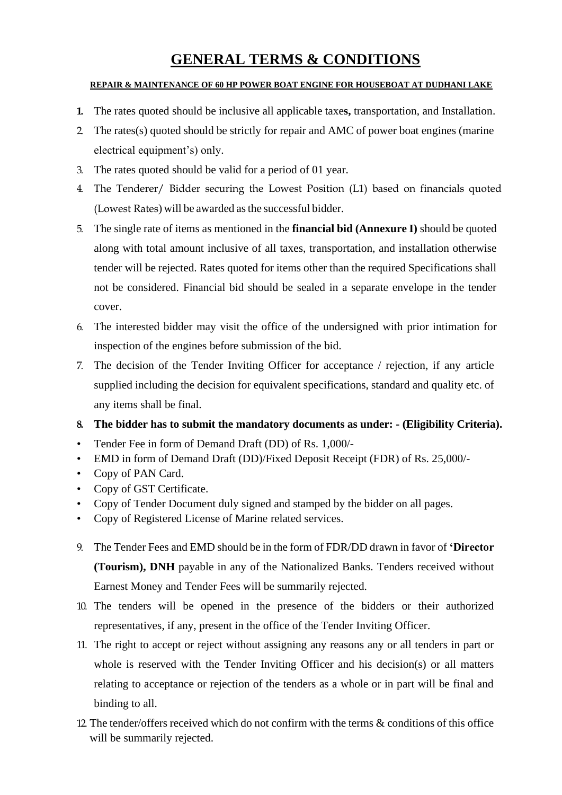## **GENERAL TERMS & CONDITIONS**

#### **REPAIR & MAINTENANCE OF 60 HP POWER BOAT ENGINE FOR HOUSEBOAT AT DUDHANI LAKE**

- **1.** The rates quoted should be inclusive all applicable taxe**s,** transportation, and Installation.
- 2. The rates(s) quoted should be strictly for repair and AMC of power boat engines (marine electrical equipment's) only.
- 3. The rates quoted should be valid for a period of 01 year.
- 4. The Tenderer/ Bidder securing the Lowest Position (L1) based on financials quoted (Lowest Rates) will be awarded asthe successful bidder.
- 5. The single rate of items as mentioned in the **financial bid (Annexure I)** should be quoted along with total amount inclusive of all taxes, transportation, and installation otherwise tender will be rejected. Rates quoted for items other than the required Specifications shall not be considered. Financial bid should be sealed in a separate envelope in the tender cover.
- 6. The interested bidder may visit the office of the undersigned with prior intimation for inspection of the engines before submission of the bid.
- 7. The decision of the Tender Inviting Officer for acceptance / rejection, if any article supplied including the decision for equivalent specifications, standard and quality etc. of any items shall be final.
- **8. The bidder has to submit the mandatory documents as under: - (Eligibility Criteria).**
- Tender Fee in form of Demand Draft (DD) of Rs. 1,000/-
- EMD in form of Demand Draft (DD)/Fixed Deposit Receipt (FDR) of Rs. 25,000/-
- Copy of PAN Card.
- Copy of GST Certificate.
- Copy of Tender Document duly signed and stamped by the bidder on all pages.
- Copy of Registered License of Marine related services.
- 9. The Tender Fees and EMD should be in the form of FDR/DD drawn in favor of **'Director (Tourism), DNH** payable in any of the Nationalized Banks. Tenders received without Earnest Money and Tender Fees will be summarily rejected.
- 10. The tenders will be opened in the presence of the bidders or their authorized representatives, if any, present in the office of the Tender Inviting Officer.
- 11. The right to accept or reject without assigning any reasons any or all tenders in part or whole is reserved with the Tender Inviting Officer and his decision(s) or all matters relating to acceptance or rejection of the tenders as a whole or in part will be final and binding to all.
- 12. The tender/offers received which do not confirm with the terms & conditions of this office will be summarily rejected.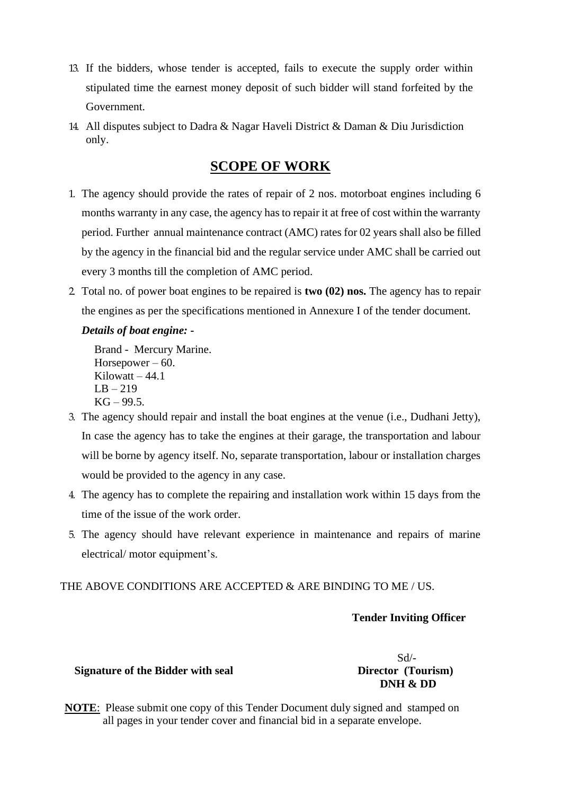- 13. If the bidders, whose tender is accepted, fails to execute the supply order within stipulated time the earnest money deposit of such bidder will stand forfeited by the Government.
- 14. All disputes subject to Dadra & Nagar Haveli District & Daman & Diu Jurisdiction only.

### **SCOPE OF WORK**

- 1. The agency should provide the rates of repair of 2 nos. motorboat engines including 6 months warranty in any case, the agency has to repair it at free of cost within the warranty period. Further annual maintenance contract (AMC) rates for 02 years shall also be filled by the agency in the financial bid and the regular service under AMC shall be carried out every 3 months till the completion of AMC period.
- 2. Total no. of power boat engines to be repaired is **two (02) nos.** The agency has to repair the engines as per the specifications mentioned in Annexure I of the tender document.

### *Details of boat engine: -*

Brand - Mercury Marine. Horsepower  $-60$ . Kilowatt  $-44.1$  $LB - 219$  $KG - 99.5.$ 

- 3. The agency should repair and install the boat engines at the venue (i.e., Dudhani Jetty), In case the agency has to take the engines at their garage, the transportation and labour will be borne by agency itself. No, separate transportation, labour or installation charges would be provided to the agency in any case.
- 4. The agency has to complete the repairing and installation work within 15 days from the time of the issue of the work order.
- 5. The agency should have relevant experience in maintenance and repairs of marine electrical/ motor equipment's.

### THE ABOVE CONDITIONS ARE ACCEPTED & ARE BINDING TO ME / US.

### **Tender Inviting Officer**

 **Signature of the Bidder with seal Director (Tourism)** 

 Sd/- **DNH & DD**

**NOTE**: Please submit one copy of this Tender Document duly signed and stamped on all pages in your tender cover and financial bid in a separate envelope.